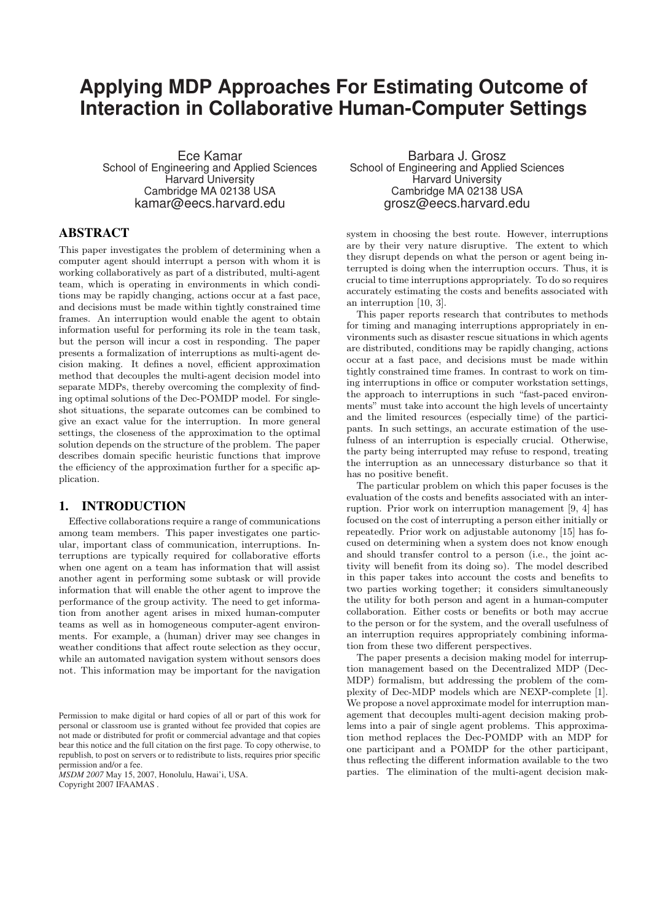# **Applying MDP Approaches For Estimating Outcome of Interaction in Collaborative Human-Computer Settings**

Ece Kamar School of Engineering and Applied Sciences Harvard University Cambridge MA 02138 USA kamar@eecs.harvard.edu

# ABSTRACT

This paper investigates the problem of determining when a computer agent should interrupt a person with whom it is working collaboratively as part of a distributed, multi-agent team, which is operating in environments in which conditions may be rapidly changing, actions occur at a fast pace, and decisions must be made within tightly constrained time frames. An interruption would enable the agent to obtain information useful for performing its role in the team task, but the person will incur a cost in responding. The paper presents a formalization of interruptions as multi-agent decision making. It defines a novel, efficient approximation method that decouples the multi-agent decision model into separate MDPs, thereby overcoming the complexity of finding optimal solutions of the Dec-POMDP model. For singleshot situations, the separate outcomes can be combined to give an exact value for the interruption. In more general settings, the closeness of the approximation to the optimal solution depends on the structure of the problem. The paper describes domain specific heuristic functions that improve the efficiency of the approximation further for a specific application.

#### 1. INTRODUCTION

Effective collaborations require a range of communications among team members. This paper investigates one particular, important class of communication, interruptions. Interruptions are typically required for collaborative efforts when one agent on a team has information that will assist another agent in performing some subtask or will provide information that will enable the other agent to improve the performance of the group activity. The need to get information from another agent arises in mixed human-computer teams as well as in homogeneous computer-agent environments. For example, a (human) driver may see changes in weather conditions that affect route selection as they occur, while an automated navigation system without sensors does not. This information may be important for the navigation

*MSDM 2007* May 15, 2007, Honolulu, Hawai'i, USA. Copyright 2007 IFAAMAS .

Barbara J. Grosz School of Engineering and Applied Sciences Harvard University Cambridge MA 02138 USA grosz@eecs.harvard.edu

system in choosing the best route. However, interruptions are by their very nature disruptive. The extent to which they disrupt depends on what the person or agent being interrupted is doing when the interruption occurs. Thus, it is crucial to time interruptions appropriately. To do so requires accurately estimating the costs and benefits associated with an interruption [10, 3].

This paper reports research that contributes to methods for timing and managing interruptions appropriately in environments such as disaster rescue situations in which agents are distributed, conditions may be rapidly changing, actions occur at a fast pace, and decisions must be made within tightly constrained time frames. In contrast to work on timing interruptions in office or computer workstation settings, the approach to interruptions in such "fast-paced environments" must take into account the high levels of uncertainty and the limited resources (especially time) of the participants. In such settings, an accurate estimation of the usefulness of an interruption is especially crucial. Otherwise, the party being interrupted may refuse to respond, treating the interruption as an unnecessary disturbance so that it has no positive benefit.

The particular problem on which this paper focuses is the evaluation of the costs and benefits associated with an interruption. Prior work on interruption management [9, 4] has focused on the cost of interrupting a person either initially or repeatedly. Prior work on adjustable autonomy [15] has focused on determining when a system does not know enough and should transfer control to a person (i.e., the joint activity will benefit from its doing so). The model described in this paper takes into account the costs and benefits to two parties working together; it considers simultaneously the utility for both person and agent in a human-computer collaboration. Either costs or benefits or both may accrue to the person or for the system, and the overall usefulness of an interruption requires appropriately combining information from these two different perspectives.

The paper presents a decision making model for interruption management based on the Decentralized MDP (Dec-MDP) formalism, but addressing the problem of the complexity of Dec-MDP models which are NEXP-complete [1]. We propose a novel approximate model for interruption management that decouples multi-agent decision making problems into a pair of single agent problems. This approximation method replaces the Dec-POMDP with an MDP for one participant and a POMDP for the other participant, thus reflecting the different information available to the two parties. The elimination of the multi-agent decision mak-

Permission to make digital or hard copies of all or part of this work for personal or classroom use is granted without fee provided that copies are not made or distributed for profit or commercial advantage and that copies bear this notice and the full citation on the first page. To copy otherwise, to republish, to post on servers or to redistribute to lists, requires prior specific permission and/or a fee.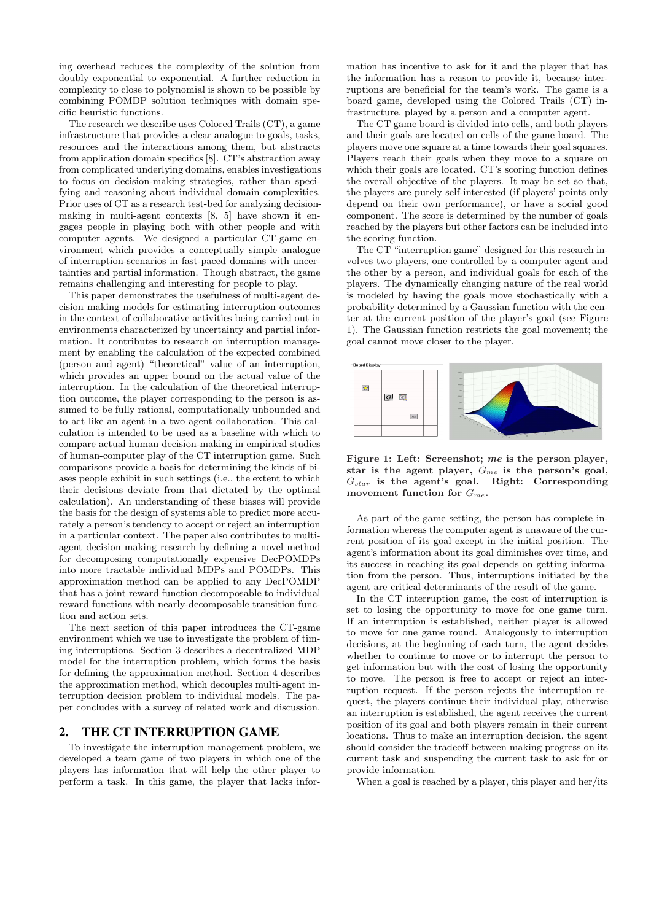ing overhead reduces the complexity of the solution from doubly exponential to exponential. A further reduction in complexity to close to polynomial is shown to be possible by combining POMDP solution techniques with domain specific heuristic functions.

The research we describe uses Colored Trails (CT), a game infrastructure that provides a clear analogue to goals, tasks, resources and the interactions among them, but abstracts from application domain specifics [8]. CT's abstraction away from complicated underlying domains, enables investigations to focus on decision-making strategies, rather than specifying and reasoning about individual domain complexities. Prior uses of CT as a research test-bed for analyzing decisionmaking in multi-agent contexts [8, 5] have shown it engages people in playing both with other people and with computer agents. We designed a particular CT-game environment which provides a conceptually simple analogue of interruption-scenarios in fast-paced domains with uncertainties and partial information. Though abstract, the game remains challenging and interesting for people to play.

This paper demonstrates the usefulness of multi-agent decision making models for estimating interruption outcomes in the context of collaborative activities being carried out in environments characterized by uncertainty and partial information. It contributes to research on interruption management by enabling the calculation of the expected combined (person and agent) "theoretical" value of an interruption, which provides an upper bound on the actual value of the interruption. In the calculation of the theoretical interruption outcome, the player corresponding to the person is assumed to be fully rational, computationally unbounded and to act like an agent in a two agent collaboration. This calculation is intended to be used as a baseline with which to compare actual human decision-making in empirical studies of human-computer play of the CT interruption game. Such comparisons provide a basis for determining the kinds of biases people exhibit in such settings (i.e., the extent to which their decisions deviate from that dictated by the optimal calculation). An understanding of these biases will provide the basis for the design of systems able to predict more accurately a person's tendency to accept or reject an interruption in a particular context. The paper also contributes to multiagent decision making research by defining a novel method for decomposing computationally expensive DecPOMDPs into more tractable individual MDPs and POMDPs. This approximation method can be applied to any DecPOMDP that has a joint reward function decomposable to individual reward functions with nearly-decomposable transition function and action sets.

The next section of this paper introduces the CT-game environment which we use to investigate the problem of timing interruptions. Section 3 describes a decentralized MDP model for the interruption problem, which forms the basis for defining the approximation method. Section 4 describes the approximation method, which decouples multi-agent interruption decision problem to individual models. The paper concludes with a survey of related work and discussion.

#### 2. THE CT INTERRUPTION GAME

To investigate the interruption management problem, we developed a team game of two players in which one of the players has information that will help the other player to perform a task. In this game, the player that lacks infor-

mation has incentive to ask for it and the player that has the information has a reason to provide it, because interruptions are beneficial for the team's work. The game is a board game, developed using the Colored Trails (CT) infrastructure, played by a person and a computer agent.

The CT game board is divided into cells, and both players and their goals are located on cells of the game board. The players move one square at a time towards their goal squares. Players reach their goals when they move to a square on which their goals are located. CT's scoring function defines the overall objective of the players. It may be set so that, the players are purely self-interested (if players' points only depend on their own performance), or have a social good component. The score is determined by the number of goals reached by the players but other factors can be included into the scoring function.

The CT "interruption game" designed for this research involves two players, one controlled by a computer agent and the other by a person, and individual goals for each of the players. The dynamically changing nature of the real world is modeled by having the goals move stochastically with a probability determined by a Gaussian function with the center at the current position of the player's goal (see Figure 1). The Gaussian function restricts the goal movement; the goal cannot move closer to the player.



Figure 1: Left: Screenshot; me is the person player, star is the agent player,  $G_{me}$  is the person's goal,  $G_{star}$  is the agent's goal. Right: Corresponding movement function for  $G_{me}$ .

As part of the game setting, the person has complete information whereas the computer agent is unaware of the current position of its goal except in the initial position. The agent's information about its goal diminishes over time, and its success in reaching its goal depends on getting information from the person. Thus, interruptions initiated by the agent are critical determinants of the result of the game.

In the CT interruption game, the cost of interruption is set to losing the opportunity to move for one game turn. If an interruption is established, neither player is allowed to move for one game round. Analogously to interruption decisions, at the beginning of each turn, the agent decides whether to continue to move or to interrupt the person to get information but with the cost of losing the opportunity to move. The person is free to accept or reject an interruption request. If the person rejects the interruption request, the players continue their individual play, otherwise an interruption is established, the agent receives the current position of its goal and both players remain in their current locations. Thus to make an interruption decision, the agent should consider the tradeoff between making progress on its current task and suspending the current task to ask for or provide information.

When a goal is reached by a player, this player and her/its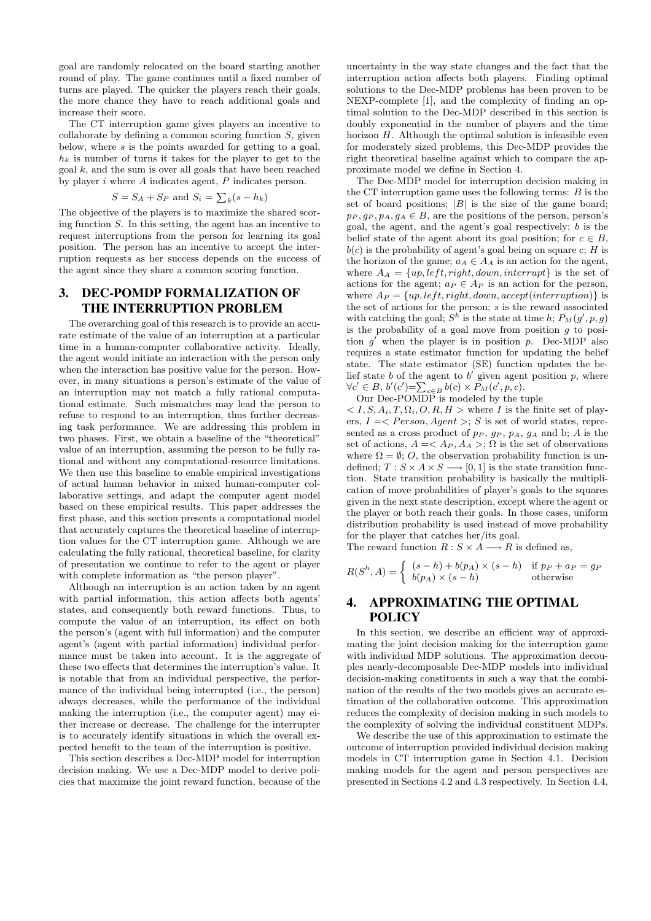goal are randomly relocated on the board starting another round of play. The game continues until a fixed number of turns are played. The quicker the players reach their goals, the more chance they have to reach additional goals and increase their score.

The CT interruption game gives players an incentive to collaborate by defining a common scoring function  $S$ , given below, where  $s$  is the points awarded for getting to a goal,  $h_k$  is number of turns it takes for the player to get to the  $\gcd k$ , and the sum is over all goals that have been reached by player i where A indicates agent, P indicates person.

$$
S = S_A + S_P \text{ and } S_i = \sum_k (s - h_k)
$$

The objective of the players is to maximize the shared scoring function S. In this setting, the agent has an incentive to request interruptions from the person for learning its goal position. The person has an incentive to accept the interruption requests as her success depends on the success of the agent since they share a common scoring function.

# 3. DEC-POMDP FORMALIZATION OF THE INTERRUPTION PROBLEM

The overarching goal of this research is to provide an accurate estimate of the value of an interruption at a particular time in a human-computer collaborative activity. Ideally, the agent would initiate an interaction with the person only when the interaction has positive value for the person. However, in many situations a person's estimate of the value of an interruption may not match a fully rational computational estimate. Such mismatches may lead the person to refuse to respond to an interruption, thus further decreasing task performance. We are addressing this problem in two phases. First, we obtain a baseline of the "theoretical" value of an interruption, assuming the person to be fully rational and without any computational-resource limitations. We then use this baseline to enable empirical investigations of actual human behavior in mixed human-computer collaborative settings, and adapt the computer agent model based on these empirical results. This paper addresses the first phase, and this section presents a computational model that accurately captures the theoretical baseline of interruption values for the CT interruption game. Although we are calculating the fully rational, theoretical baseline, for clarity of presentation we continue to refer to the agent or player with complete information as "the person player".

Although an interruption is an action taken by an agent with partial information, this action affects both agents' states, and consequently both reward functions. Thus, to compute the value of an interruption, its effect on both the person's (agent with full information) and the computer agent's (agent with partial information) individual performance must be taken into account. It is the aggregate of these two effects that determines the interruption's value. It is notable that from an individual perspective, the performance of the individual being interrupted (i.e., the person) always decreases, while the performance of the individual making the interruption (i.e., the computer agent) may either increase or decrease. The challenge for the interrupter is to accurately identify situations in which the overall expected benefit to the team of the interruption is positive.

This section describes a Dec-MDP model for interruption decision making. We use a Dec-MDP model to derive policies that maximize the joint reward function, because of the

uncertainty in the way state changes and the fact that the interruption action affects both players. Finding optimal solutions to the Dec-MDP problems has been proven to be NEXP-complete [1], and the complexity of finding an optimal solution to the Dec-MDP described in this section is doubly exponential in the number of players and the time horizon  $H$ . Although the optimal solution is infeasible even for moderately sized problems, this Dec-MDP provides the right theoretical baseline against which to compare the approximate model we define in Section 4.

The Dec-MDP model for interruption decision making in the CT interruption game uses the following terms:  $B$  is the set of board positions;  $|B|$  is the size of the game board;  $p_P, g_P, p_A, g_A \in B$ , are the positions of the person, person's goal, the agent, and the agent's goal respectively; b is the belief state of the agent about its goal position; for  $c \in B$ ,  $b(c)$  is the probability of agent's goal being on square c; H is the horizon of the game;  $a_A \in A_A$  is an action for the agent, where  $A_A = \{up, left, right, down, interrupt\}$  is the set of actions for the agent;  $a_P \in A_P$  is an action for the person, where  $A_P = \{up, left, right, down, accept(interruption)\}\$ is the set of actions for the person;  $s$  is the reward associated with catching the goal;  $S^h$  is the state at time h;  $P_M(g', p, g)$ is the probability of a goal move from position  $g$  to position  $g'$  when the player is in position p. Dec-MDP also requires a state estimator function for updating the belief state. The state estimator (SE) function updates the belief state b of the agent to b' given agent position p, where  $\forall c' \in B, b'(c') = \sum_{c \in B} b(c) \times P_M(c', p, c).$ 

Our Dec-POMDP is modeled by the tuple

 $I, S, A_i, T, \Omega_i, O, R, H >$  where I is the finite set of players,  $I = \langle Person, Agent \rangle$ ; S is set of world states, represented as a cross product of  $p_P$ ,  $g_P$ ,  $p_A$ ,  $g_A$  and b; A is the set of actions,  $A = \langle A_P, A_A \rangle$ ;  $\Omega$  is the set of observations where  $\Omega = \emptyset$ ; O, the observation probability function is undefined;  $T : S \times A \times S \longrightarrow [0, 1]$  is the state transition function. State transition probability is basically the multiplication of move probabilities of player's goals to the squares given in the next state description, except where the agent or the player or both reach their goals. In those cases, uniform distribution probability is used instead of move probability for the player that catches her/its goal.

The reward function  $R : S \times A \longrightarrow R$  is defined as,

$$
R(S^h, A) = \begin{cases} (s-h) + b(p_A) \times (s-h) & \text{if } p_P + a_P = g_P \\ b(p_A) \times (s-h) & \text{otherwise} \end{cases}
$$

## 4. APPROXIMATING THE OPTIMAL POLICY

In this section, we describe an efficient way of approximating the joint decision making for the interruption game with individual MDP solutions. The approximation decouples nearly-decomposable Dec-MDP models into individual decision-making constituents in such a way that the combination of the results of the two models gives an accurate estimation of the collaborative outcome. This approximation reduces the complexity of decision making in such models to the complexity of solving the individual constituent MDPs.

We describe the use of this approximation to estimate the outcome of interruption provided individual decision making models in CT interruption game in Section 4.1. Decision making models for the agent and person perspectives are presented in Sections 4.2 and 4.3 respectively. In Section 4.4,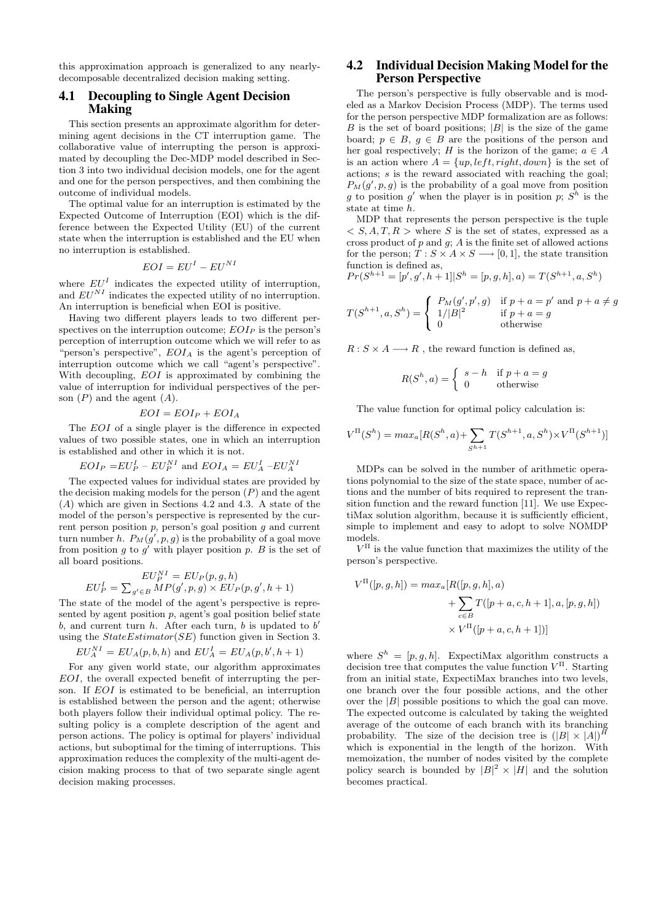this approximation approach is generalized to any nearlydecomposable decentralized decision making setting.

#### 4.1 Decoupling to Single Agent Decision Making

This section presents an approximate algorithm for determining agent decisions in the CT interruption game. The collaborative value of interrupting the person is approximated by decoupling the Dec-MDP model described in Section 3 into two individual decision models, one for the agent and one for the person perspectives, and then combining the outcome of individual models.

The optimal value for an interruption is estimated by the Expected Outcome of Interruption (EOI) which is the difference between the Expected Utility (EU) of the current state when the interruption is established and the EU when no interruption is established.

$$
EOI = EU^I - EU^{NI}
$$

where  $EU<sup>I</sup>$  indicates the expected utility of interruption, and  $EU^{NI}$  indicates the expected utility of no interruption. An interruption is beneficial when EOI is positive.

Having two different players leads to two different perspectives on the interruption outcome;  $EOI<sub>P</sub>$  is the person's perception of interruption outcome which we will refer to as "person's perspective",  $EOI<sub>A</sub>$  is the agent's perception of interruption outcome which we call "agent's perspective". With decoupling,  $EOI$  is approximated by combining the value of interruption for individual perspectives of the person  $(P)$  and the agent  $(A)$ .

$$
EOI = EOI_P + EOI_A
$$

The EOI of a single player is the difference in expected values of two possible states, one in which an interruption is established and other in which it is not.

$$
EOI_P = EU_P^I - EU_P^{NI}
$$
 and  $EOI_A = EU_A^I - EU_A^{NI}$ 

The expected values for individual states are provided by the decision making models for the person  $(P)$  and the agent (A) which are given in Sections 4.2 and 4.3. A state of the model of the person's perspective is represented by the current person position  $p$ , person's goal position  $g$  and current turn number h.  $P_M(g', p, g)$  is the probability of a goal move from position g to  $g'$  with player position p. B is the set of all board positions.

$$
EU_P^N = EU_P(p, g, h)
$$
  

$$
EU_P^I = \sum_{g' \in B} MP(g', p, g) \times EU_P(p, g', h + 1)
$$

The state of the model of the agent's perspective is represented by agent position  $p$ , agent's goal position belief state  $b$ , and current turn  $h$ . After each turn,  $b$  is updated to  $b'$ using the  $StateEstimator(SE)$  function given in Section 3.

$$
EU_A^{NI} = EU_A(p, b, h)
$$
 and  $EU_A^I = EU_A(p, b', h + 1)$ 

For any given world state, our algorithm approximates EOI, the overall expected benefit of interrupting the person. If EOI is estimated to be beneficial, an interruption is established between the person and the agent; otherwise both players follow their individual optimal policy. The resulting policy is a complete description of the agent and person actions. The policy is optimal for players' individual actions, but suboptimal for the timing of interruptions. This approximation reduces the complexity of the multi-agent decision making process to that of two separate single agent decision making processes.

#### 4.2 Individual Decision Making Model for the Person Perspective

The person's perspective is fully observable and is modeled as a Markov Decision Process (MDP). The terms used for the person perspective MDP formalization are as follows: B is the set of board positions;  $|B|$  is the size of the game board;  $p \in B$ ,  $q \in B$  are the positions of the person and her goal respectively; H is the horizon of the game;  $a \in A$ is an action where  $A = \{up, left, right, down\}$  is the set of actions; s is the reward associated with reaching the goal;  $P_M(g', p, g)$  is the probability of a goal move from position g to position g' when the player is in position p;  $S<sup>h</sup>$  is the state at time h.

MDP that represents the person perspective is the tuple  $\langle S, A, T, R \rangle$  where S is the set of states, expressed as a cross product of  $p$  and  $q$ ;  $\tilde{A}$  is the finite set of allowed actions for the person;  $T : S \times A \times S \longrightarrow [0, 1]$ , the state transition function is defined as,

$$
Pr(S^{h+1} = [p', g', h+1]|S^h = [p, g, h], a) = T(S^{h+1}, a, S^h)
$$

$$
T(S^{h+1}, a, S^h) = \begin{cases} P_M(g', p', g) & \text{if } p+a = p' \text{ and } p+a \neq g \\ 1/|B|^2 & \text{if } p+a = g \\ 0 & \text{otherwise} \end{cases}
$$

 $R: S \times A \longrightarrow R$ , the reward function is defined as,

$$
R(S^h, a) = \begin{cases} s - h & \text{if } p + a = g \\ 0 & \text{otherwise} \end{cases}
$$

The value function for optimal policy calculation is:

$$
V^{\Pi}(S^h) = max_a[R(S^h, a) + \sum_{S^{h+1}} T(S^{h+1}, a, S^h) \times V^{\Pi}(S^{h+1})]
$$

MDPs can be solved in the number of arithmetic operations polynomial to the size of the state space, number of actions and the number of bits required to represent the transition function and the reward function [11]. We use ExpectiMax solution algorithm, because it is sufficiently efficient, simple to implement and easy to adopt to solve NOMDP models.

 $V<sup>\Pi</sup>$  is the value function that maximizes the utility of the person's perspective.

$$
V^{\Pi}([p, g, h]) = max_a[R([p, g, h], a)
$$
  
+ 
$$
\sum_{c \in B} T([p + a, c, h + 1], a, [p, g, h])
$$
  

$$
\times V^{\Pi}([p + a, c, h + 1])
$$

where  $S^h = [p, g, h]$ . ExpectiMax algorithm constructs a decision tree that computes the value function  $V<sup>\Pi</sup>$ . Starting from an initial state, ExpectiMax branches into two levels, one branch over the four possible actions, and the other over the  $|B|$  possible positions to which the goal can move. The expected outcome is calculated by taking the weighted average of the outcome of each branch with its branching probability. The size of the decision tree is  $(|B| \times |A|)^H$ which is exponential in the length of the horizon. With memoization, the number of nodes visited by the complete policy search is bounded by  $|B|^2 \times |H|$  and the solution becomes practical.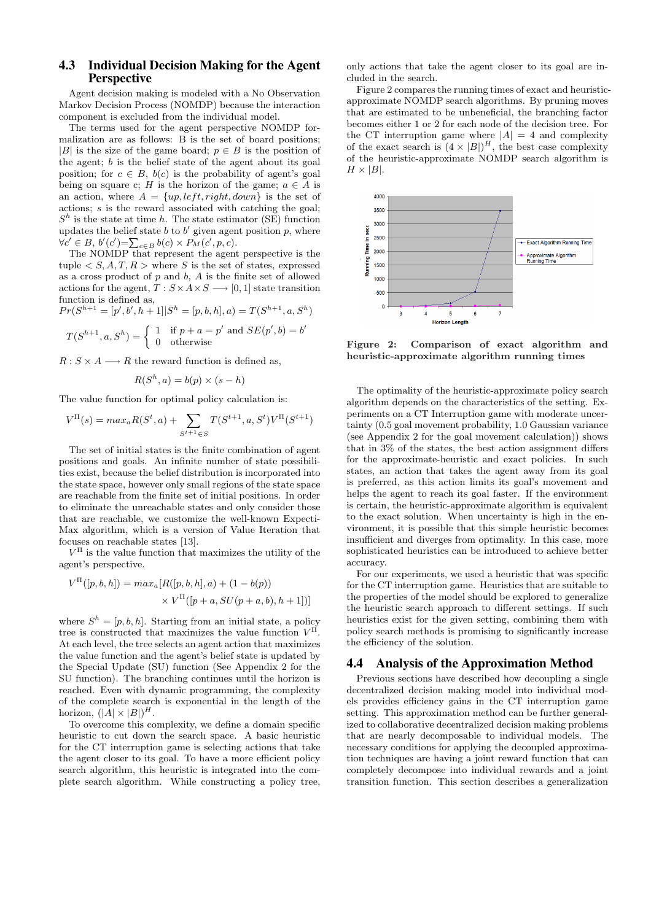#### 4.3 Individual Decision Making for the Agent **Perspective**

Agent decision making is modeled with a No Observation Markov Decision Process (NOMDP) because the interaction component is excluded from the individual model.

The terms used for the agent perspective NOMDP formalization are as follows: B is the set of board positions; |B| is the size of the game board;  $p \in B$  is the position of the agent; b is the belief state of the agent about its goal position; for  $c \in B$ ,  $b(c)$  is the probability of agent's goal being on square c; H is the horizon of the game;  $a \in A$  is an action, where  $A = \{up, left, right, down\}$  is the set of actions; s is the reward associated with catching the goal;  $S<sup>h</sup>$  is the state at time h. The state estimator (SE) function updates the belief state b to b' given agent position  $p$ , where  $\forall c' \in B, b'(c') = \sum_{c \in B} b(c) \times P_M(c', p, c).$ 

The NOMDP that represent the agent perspective is the tuple  $\langle S, A, T, R \rangle$  where S is the set of states, expressed as a cross product of  $p$  and  $b$ ,  $A$  is the finite set of allowed actions for the agent,  $T : S \times A \times S \longrightarrow [0, 1]$  state transition function is defined as,

$$
Pr(S^{h+1} = [p', b', h+1]|S^h = [p, b, h], a) = T(S^{h+1}, a, S^h)
$$

$$
T(S^{h+1}, a, S^h) = \begin{cases} 1 & \text{if } p + a = p' \text{ and } SE(p', b) = b' \\ 0 & \text{otherwise} \end{cases}
$$

 $R: S \times A \longrightarrow R$  the reward function is defined as,

$$
R(S^h, a) = b(p) \times (s - h)
$$

The value function for optimal policy calculation is:

$$
V^{\Pi}(s) = max_a R(S^t, a) + \sum_{S^{t+1} \in S} T(S^{t+1}, a, S^t) V^{\Pi}(S^{t+1})
$$

The set of initial states is the finite combination of agent positions and goals. An infinite number of state possibilities exist, because the belief distribution is incorporated into the state space, however only small regions of the state space are reachable from the finite set of initial positions. In order to eliminate the unreachable states and only consider those that are reachable, we customize the well-known Expecti-Max algorithm, which is a version of Value Iteration that focuses on reachable states [13].

 $V<sup>\Pi</sup>$  is the value function that maximizes the utility of the agent's perspective.

$$
V^{\Pi}([p, b, h]) = max_a[R([p, b, h], a) + (1 - b(p))
$$
  
 
$$
\times V^{\Pi}([p + a, SU(p + a, b), h + 1])]
$$

where  $S^h = [p, b, h]$ . Starting from an initial state, a policy tree is constructed that maximizes the value function  $V<sup>\Pi</sup>$ . At each level, the tree selects an agent action that maximizes the value function and the agent's belief state is updated by the Special Update (SU) function (See Appendix 2 for the SU function). The branching continues until the horizon is reached. Even with dynamic programming, the complexity of the complete search is exponential in the length of the horizon,  $(|A| \times |B|)^{H}$ .

To overcome this complexity, we define a domain specific heuristic to cut down the search space. A basic heuristic for the CT interruption game is selecting actions that take the agent closer to its goal. To have a more efficient policy search algorithm, this heuristic is integrated into the complete search algorithm. While constructing a policy tree,

only actions that take the agent closer to its goal are included in the search.

Figure 2 compares the running times of exact and heuristicapproximate NOMDP search algorithms. By pruning moves that are estimated to be unbeneficial, the branching factor becomes either 1 or 2 for each node of the decision tree. For the CT interruption game where  $|A| = 4$  and complexity of the exact search is  $(4 \times |B|)^{H}$ , the best case complexity of the heuristic-approximate NOMDP search algorithm is  $H \times |B|$ .



Figure 2: Comparison of exact algorithm and heuristic-approximate algorithm running times

The optimality of the heuristic-approximate policy search algorithm depends on the characteristics of the setting. Experiments on a CT Interruption game with moderate uncertainty (0.5 goal movement probability, 1.0 Gaussian variance (see Appendix 2 for the goal movement calculation)) shows that in 3% of the states, the best action assignment differs for the approximate-heuristic and exact policies. In such states, an action that takes the agent away from its goal is preferred, as this action limits its goal's movement and helps the agent to reach its goal faster. If the environment is certain, the heuristic-approximate algorithm is equivalent to the exact solution. When uncertainty is high in the environment, it is possible that this simple heuristic becomes insufficient and diverges from optimality. In this case, more sophisticated heuristics can be introduced to achieve better accuracy.

For our experiments, we used a heuristic that was specific for the CT interruption game. Heuristics that are suitable to the properties of the model should be explored to generalize the heuristic search approach to different settings. If such heuristics exist for the given setting, combining them with policy search methods is promising to significantly increase the efficiency of the solution.

#### 4.4 Analysis of the Approximation Method

Previous sections have described how decoupling a single decentralized decision making model into individual models provides efficiency gains in the CT interruption game setting. This approximation method can be further generalized to collaborative decentralized decision making problems that are nearly decomposable to individual models. The necessary conditions for applying the decoupled approximation techniques are having a joint reward function that can completely decompose into individual rewards and a joint transition function. This section describes a generalization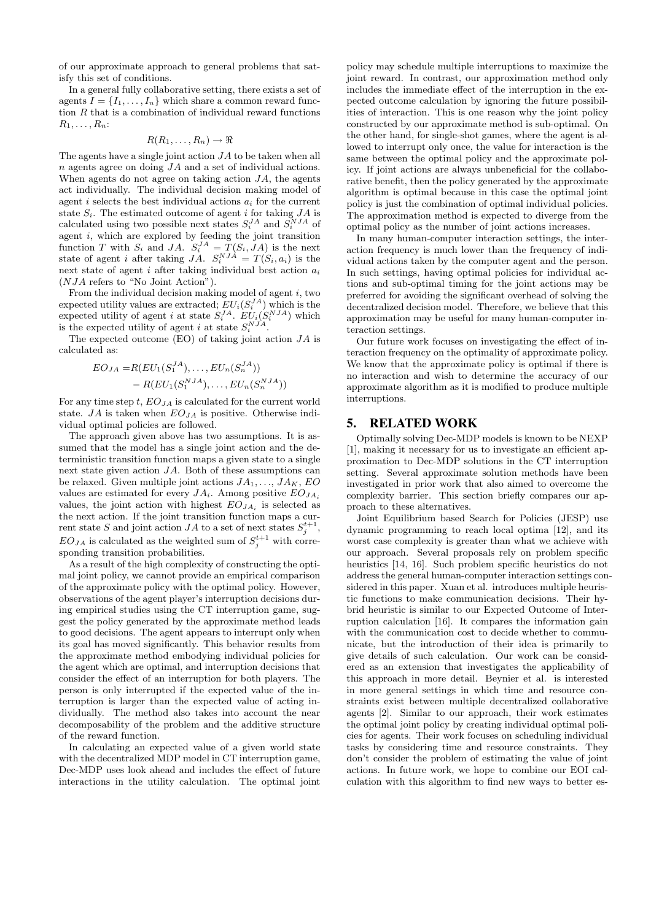of our approximate approach to general problems that satisfy this set of conditions.

In a general fully collaborative setting, there exists a set of agents  $I = \{I_1, \ldots, I_n\}$  which share a common reward function  $R$  that is a combination of individual reward functions  $R_1, \ldots, R_n$ :

$$
R(R_1,\ldots,R_n)\to\Re
$$

The agents have a single joint action  $JA$  to be taken when all n agents agree on doing JA and a set of individual actions. When agents do not agree on taking action  $JA$ , the agents act individually. The individual decision making model of agent i selects the best individual actions  $a_i$  for the current state  $S_i$ . The estimated outcome of agent i for taking  $JA$  is calculated using two possible next states  $S_i^{JA}$  and  $S_i^{NJA}$  of agent  $i$ , which are explored by feeding the joint transition function T with  $S_i$  and JA.  $S_i^{JA} = T(S_i, JA)$  is the next state of agent *i* after taking  $JA$ .  $S_i^{NJA} = T(S_i, a_i)$  is the next state of agent i after taking individual best action  $a_i$ (NJA refers to "No Joint Action").

From the individual decision making model of agent  $i$ , two expected utility values are extracted;  $EU_i(S_i^{JA})$  which is the expected utility of agent i at state  $S_i^{JA}$ .  $EU_i(S_i^{NJA})$  which is the expected utility of agent i at state  $S_i^{NJA}$ .

The expected outcome  $(EO)$  of taking joint action  $JA$  is calculated as:

$$
EO_{JA} = R(EU_1(S_1^{JA}), \dots, EU_n(S_n^{JA}))
$$
  
-  $R(EU_1(S_1^{NJA}), \dots, EU_n(S_n^{NJA}))$ 

For any time step t,  $EO_{IA}$  is calculated for the current world state. JA is taken when  $EO_{JA}$  is positive. Otherwise individual optimal policies are followed.

The approach given above has two assumptions. It is assumed that the model has a single joint action and the deterministic transition function maps a given state to a single next state given action JA. Both of these assumptions can be relaxed. Given multiple joint actions  $JA_1, \ldots, JA_K$ , EO values are estimated for every  $JA_i$ . Among positive  $EO_{JA_i}$ values, the joint action with highest  $EO_{JA_i}$  is selected as the next action. If the joint transition function maps a current state S and joint action  $JA$  to a set of next states  $S_j^{t+1}$ ,  $EO_{JA}$  is calculated as the weighted sum of  $S_j^{t+1}$  with corresponding transition probabilities.

As a result of the high complexity of constructing the optimal joint policy, we cannot provide an empirical comparison of the approximate policy with the optimal policy. However, observations of the agent player's interruption decisions during empirical studies using the CT interruption game, suggest the policy generated by the approximate method leads to good decisions. The agent appears to interrupt only when its goal has moved significantly. This behavior results from the approximate method embodying individual policies for the agent which are optimal, and interruption decisions that consider the effect of an interruption for both players. The person is only interrupted if the expected value of the interruption is larger than the expected value of acting individually. The method also takes into account the near decomposability of the problem and the additive structure of the reward function.

In calculating an expected value of a given world state with the decentralized MDP model in CT interruption game, Dec-MDP uses look ahead and includes the effect of future interactions in the utility calculation. The optimal joint

policy may schedule multiple interruptions to maximize the joint reward. In contrast, our approximation method only includes the immediate effect of the interruption in the expected outcome calculation by ignoring the future possibilities of interaction. This is one reason why the joint policy constructed by our approximate method is sub-optimal. On the other hand, for single-shot games, where the agent is allowed to interrupt only once, the value for interaction is the same between the optimal policy and the approximate policy. If joint actions are always unbeneficial for the collaborative benefit, then the policy generated by the approximate algorithm is optimal because in this case the optimal joint policy is just the combination of optimal individual policies. The approximation method is expected to diverge from the optimal policy as the number of joint actions increases.

In many human-computer interaction settings, the interaction frequency is much lower than the frequency of individual actions taken by the computer agent and the person. In such settings, having optimal policies for individual actions and sub-optimal timing for the joint actions may be preferred for avoiding the significant overhead of solving the decentralized decision model. Therefore, we believe that this approximation may be useful for many human-computer interaction settings.

Our future work focuses on investigating the effect of interaction frequency on the optimality of approximate policy. We know that the approximate policy is optimal if there is no interaction and wish to determine the accuracy of our approximate algorithm as it is modified to produce multiple interruptions.

#### 5. RELATED WORK

Optimally solving Dec-MDP models is known to be NEXP [1], making it necessary for us to investigate an efficient approximation to Dec-MDP solutions in the CT interruption setting. Several approximate solution methods have been investigated in prior work that also aimed to overcome the complexity barrier. This section briefly compares our approach to these alternatives.

Joint Equilibrium based Search for Policies (JESP) use dynamic programming to reach local optima [12], and its worst case complexity is greater than what we achieve with our approach. Several proposals rely on problem specific heuristics [14, 16]. Such problem specific heuristics do not address the general human-computer interaction settings considered in this paper. Xuan et al. introduces multiple heuristic functions to make communication decisions. Their hybrid heuristic is similar to our Expected Outcome of Interruption calculation [16]. It compares the information gain with the communication cost to decide whether to communicate, but the introduction of their idea is primarily to give details of such calculation. Our work can be considered as an extension that investigates the applicability of this approach in more detail. Beynier et al. is interested in more general settings in which time and resource constraints exist between multiple decentralized collaborative agents [2]. Similar to our approach, their work estimates the optimal joint policy by creating individual optimal policies for agents. Their work focuses on scheduling individual tasks by considering time and resource constraints. They don't consider the problem of estimating the value of joint actions. In future work, we hope to combine our EOI calculation with this algorithm to find new ways to better es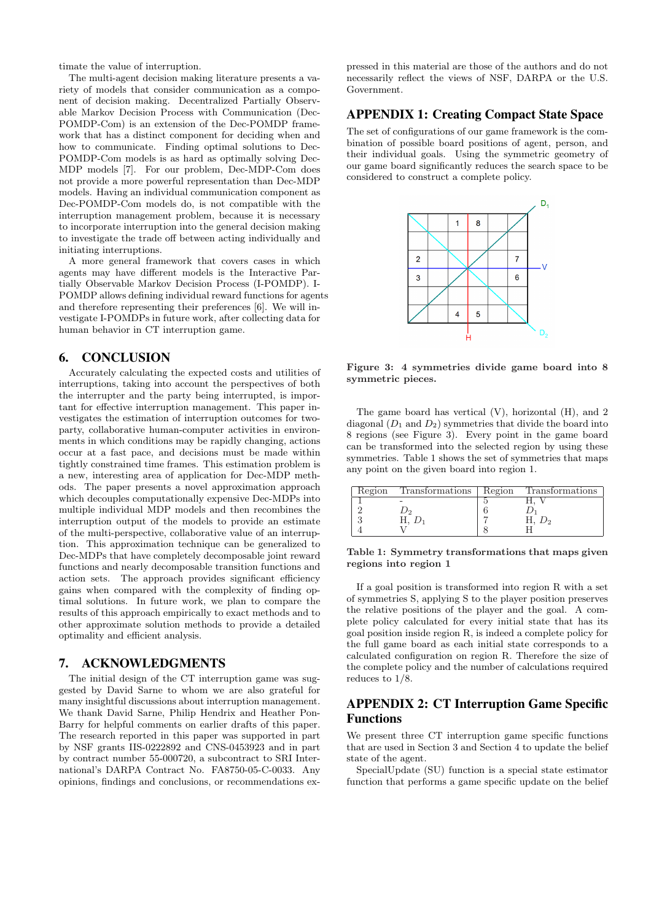timate the value of interruption.

The multi-agent decision making literature presents a variety of models that consider communication as a component of decision making. Decentralized Partially Observable Markov Decision Process with Communication (Dec-POMDP-Com) is an extension of the Dec-POMDP framework that has a distinct component for deciding when and how to communicate. Finding optimal solutions to Dec-POMDP-Com models is as hard as optimally solving Dec-MDP models [7]. For our problem, Dec-MDP-Com does not provide a more powerful representation than Dec-MDP models. Having an individual communication component as Dec-POMDP-Com models do, is not compatible with the interruption management problem, because it is necessary to incorporate interruption into the general decision making to investigate the trade off between acting individually and initiating interruptions.

A more general framework that covers cases in which agents may have different models is the Interactive Partially Observable Markov Decision Process (I-POMDP). I-POMDP allows defining individual reward functions for agents and therefore representing their preferences [6]. We will investigate I-POMDPs in future work, after collecting data for human behavior in CT interruption game.

## 6. CONCLUSION

Accurately calculating the expected costs and utilities of interruptions, taking into account the perspectives of both the interrupter and the party being interrupted, is important for effective interruption management. This paper investigates the estimation of interruption outcomes for twoparty, collaborative human-computer activities in environments in which conditions may be rapidly changing, actions occur at a fast pace, and decisions must be made within tightly constrained time frames. This estimation problem is a new, interesting area of application for Dec-MDP methods. The paper presents a novel approximation approach which decouples computationally expensive Dec-MDPs into multiple individual MDP models and then recombines the interruption output of the models to provide an estimate of the multi-perspective, collaborative value of an interruption. This approximation technique can be generalized to Dec-MDPs that have completely decomposable joint reward functions and nearly decomposable transition functions and action sets. The approach provides significant efficiency gains when compared with the complexity of finding optimal solutions. In future work, we plan to compare the results of this approach empirically to exact methods and to other approximate solution methods to provide a detailed optimality and efficient analysis.

## 7. ACKNOWLEDGMENTS

The initial design of the CT interruption game was suggested by David Sarne to whom we are also grateful for many insightful discussions about interruption management. We thank David Sarne, Philip Hendrix and Heather Pon-Barry for helpful comments on earlier drafts of this paper. The research reported in this paper was supported in part by NSF grants IIS-0222892 and CNS-0453923 and in part by contract number 55-000720, a subcontract to SRI International's DARPA Contract No. FA8750-05-C-0033. Any opinions, findings and conclusions, or recommendations ex-

pressed in this material are those of the authors and do not necessarily reflect the views of NSF, DARPA or the U.S. Government.

#### APPENDIX 1: Creating Compact State Space

The set of configurations of our game framework is the combination of possible board positions of agent, person, and their individual goals. Using the symmetric geometry of our game board significantly reduces the search space to be considered to construct a complete policy.



Figure 3: 4 symmetries divide game board into 8 symmetric pieces.

The game board has vertical (V), horizontal (H), and 2 diagonal  $(D_1 \text{ and } D_2)$  symmetries that divide the board into 8 regions (see Figure 3). Every point in the game board can be transformed into the selected region by using these symmetries. Table 1 shows the set of symmetries that maps any point on the given board into region 1.

| Region | Transformations | Region | Transformations |
|--------|-----------------|--------|-----------------|
|        |                 |        |                 |
|        |                 |        |                 |
|        |                 |        |                 |
|        |                 |        |                 |

Table 1: Symmetry transformations that maps given regions into region 1

If a goal position is transformed into region R with a set of symmetries S, applying S to the player position preserves the relative positions of the player and the goal. A complete policy calculated for every initial state that has its goal position inside region R, is indeed a complete policy for the full game board as each initial state corresponds to a calculated configuration on region R. Therefore the size of the complete policy and the number of calculations required reduces to 1/8.

## APPENDIX 2: CT Interruption Game Specific Functions

We present three CT interruption game specific functions that are used in Section 3 and Section 4 to update the belief state of the agent.

SpecialUpdate (SU) function is a special state estimator function that performs a game specific update on the belief